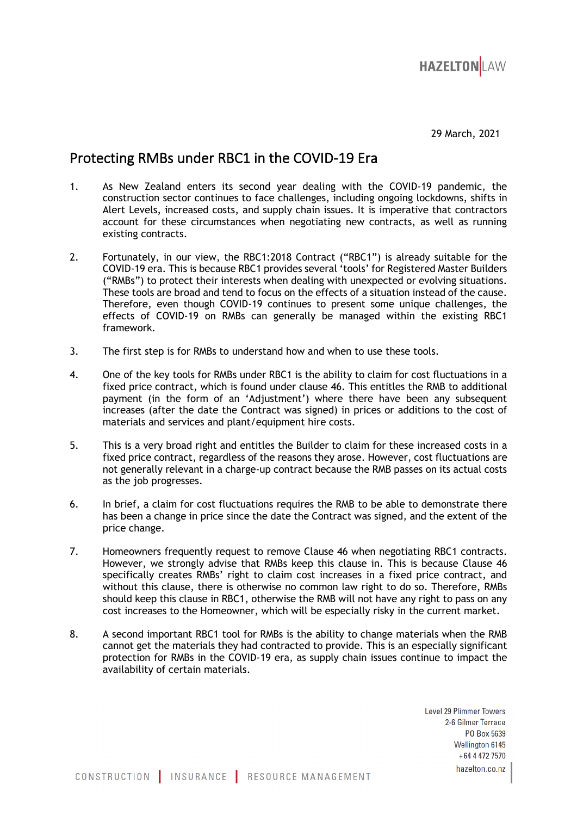

29 March, 2021

## Protecting RMBs under RBC1 in the COVID-19 Era

- 1. As New Zealand enters its second year dealing with the COVID-19 pandemic, the construction sector continues to face challenges, including ongoing lockdowns, shifts in Alert Levels, increased costs, and supply chain issues. It is imperative that contractors account for these circumstances when negotiating new contracts, as well as running existing contracts.
- 2. Fortunately, in our view, the RBC1:2018 Contract ("RBC1") is already suitable for the COVID-19 era. This is because RBC1 provides several 'tools' for Registered Master Builders ("RMBs") to protect their interests when dealing with unexpected or evolving situations. These tools are broad and tend to focus on the effects of a situation instead of the cause. Therefore, even though COVID-19 continues to present some unique challenges, the effects of COVID-19 on RMBs can generally be managed within the existing RBC1 framework.
- 3. The first step is for RMBs to understand how and when to use these tools.
- 4. One of the key tools for RMBs under RBC1 is the ability to claim for cost fluctuations in a fixed price contract, which is found under clause 46. This entitles the RMB to additional payment (in the form of an 'Adjustment') where there have been any subsequent increases (after the date the Contract was signed) in prices or additions to the cost of materials and services and plant/equipment hire costs.
- 5. This is a very broad right and entitles the Builder to claim for these increased costs in a fixed price contract, regardless of the reasons they arose. However, cost fluctuations are not generally relevant in a charge-up contract because the RMB passes on its actual costs as the job progresses.
- 6. In brief, a claim for cost fluctuations requires the RMB to be able to demonstrate there has been a change in price since the date the Contract was signed, and the extent of the price change.
- 7. Homeowners frequently request to remove Clause 46 when negotiating RBC1 contracts. However, we strongly advise that RMBs keep this clause in. This is because Clause 46 specifically creates RMBs' right to claim cost increases in a fixed price contract, and without this clause, there is otherwise no common law right to do so. Therefore, RMBs should keep this clause in RBC1, otherwise the RMB will not have any right to pass on any cost increases to the Homeowner, which will be especially risky in the current market.
- 8. A second important RBC1 tool for RMBs is the ability to change materials when the RMB cannot get the materials they had contracted to provide. This is an especially significant protection for RMBs in the COVID-19 era, as supply chain issues continue to impact the availability of certain materials.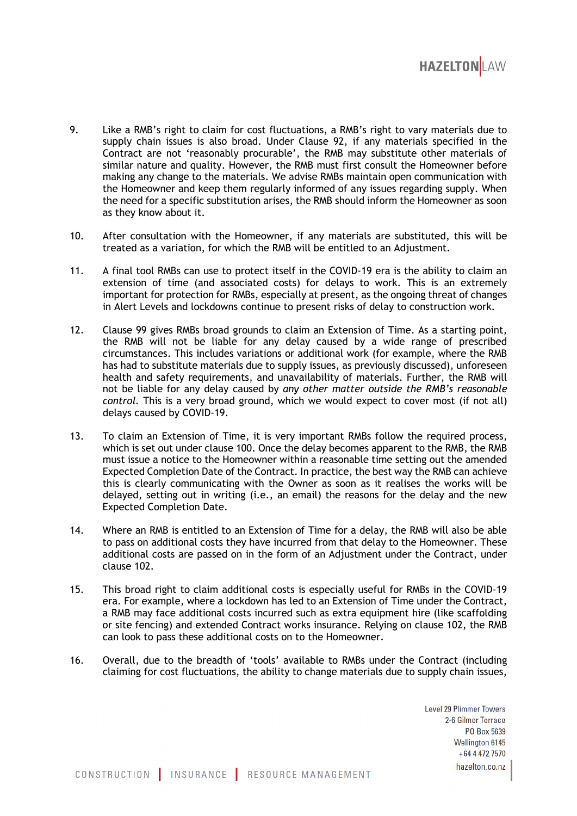

- 9. Like a RMB's right to claim for cost fluctuations, a RMB's right to vary materials due to supply chain issues is also broad. Under Clause 92, if any materials specified in the Contract are not 'reasonably procurable', the RMB may substitute other materials of similar nature and quality. However, the RMB must first consult the Homeowner before making any change to the materials. We advise RMBs maintain open communication with the Homeowner and keep them regularly informed of any issues regarding supply. When the need for a specific substitution arises, the RMB should inform the Homeowner as soon as they know about it.
- 10. After consultation with the Homeowner, if any materials are substituted, this will be treated as a variation, for which the RMB will be entitled to an Adjustment.
- 11. A final tool RMBs can use to protect itself in the COVID-19 era is the ability to claim an extension of time (and associated costs) for delays to work. This is an extremely important for protection for RMBs, especially at present, as the ongoing threat of changes in Alert Levels and lockdowns continue to present risks of delay to construction work.
- 12. Clause 99 gives RMBs broad grounds to claim an Extension of Time. As a starting point, the RMB will not be liable for any delay caused by a wide range of prescribed circumstances. This includes variations or additional work (for example, where the RMB has had to substitute materials due to supply issues, as previously discussed), unforeseen health and safety requirements, and unavailability of materials. Further, the RMB will not be liable for any delay caused by *any other matter outside the RMB's reasonable control.* This is a very broad ground, which we would expect to cover most (if not all) delays caused by COVID-19.
- 13. To claim an Extension of Time, it is very important RMBs follow the required process, which is set out under clause 100. Once the delay becomes apparent to the RMB, the RMB must issue a notice to the Homeowner within a reasonable time setting out the amended Expected Completion Date of the Contract. In practice, the best way the RMB can achieve this is clearly communicating with the Owner as soon as it realises the works will be delayed, setting out in writing (i.e., an email) the reasons for the delay and the new Expected Completion Date.
- 14. Where an RMB is entitled to an Extension of Time for a delay, the RMB will also be able to pass on additional costs they have incurred from that delay to the Homeowner. These additional costs are passed on in the form of an Adjustment under the Contract, under clause 102.
- 15. This broad right to claim additional costs is especially useful for RMBs in the COVID-19 era. For example, where a lockdown has led to an Extension of Time under the Contract, a RMB may face additional costs incurred such as extra equipment hire (like scaffolding or site fencing) and extended Contract works insurance. Relying on clause 102, the RMB can look to pass these additional costs on to the Homeowner.
- 16. Overall, due to the breadth of 'tools' available to RMBs under the Contract (including claiming for cost fluctuations, the ability to change materials due to supply chain issues,